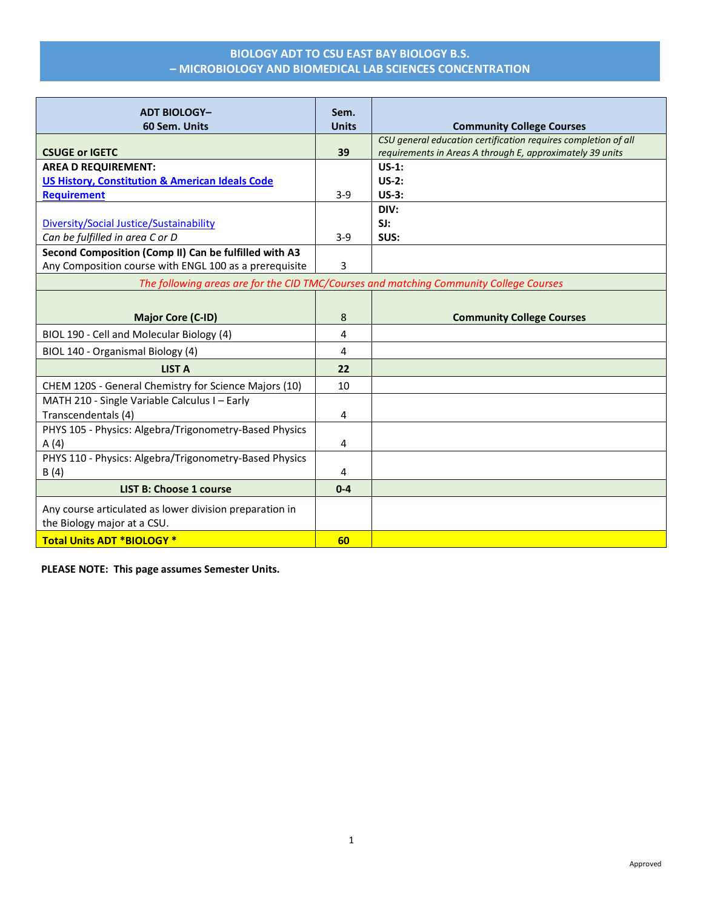| <b>ADT BIOLOGY-</b>                                                                    | Sem.         |                                                                                                                             |  |
|----------------------------------------------------------------------------------------|--------------|-----------------------------------------------------------------------------------------------------------------------------|--|
| 60 Sem. Units                                                                          | <b>Units</b> | <b>Community College Courses</b>                                                                                            |  |
| <b>CSUGE or IGETC</b>                                                                  | 39           | CSU general education certification requires completion of all<br>requirements in Areas A through E, approximately 39 units |  |
| <b>AREA D REQUIREMENT:</b>                                                             |              | $US-1:$                                                                                                                     |  |
| <b>US History, Constitution &amp; American Ideals Code</b>                             |              | $US-2:$                                                                                                                     |  |
| <b>Requirement</b>                                                                     | $3 - 9$      | $US-3:$                                                                                                                     |  |
|                                                                                        |              | DIV:                                                                                                                        |  |
| Diversity/Social Justice/Sustainability                                                |              | SI:                                                                                                                         |  |
| Can be fulfilled in area C or D                                                        | $3 - 9$      | SUS:                                                                                                                        |  |
| Second Composition (Comp II) Can be fulfilled with A3                                  |              |                                                                                                                             |  |
| Any Composition course with ENGL 100 as a prerequisite                                 | 3            |                                                                                                                             |  |
| The following areas are for the CID TMC/Courses and matching Community College Courses |              |                                                                                                                             |  |
|                                                                                        |              |                                                                                                                             |  |
| <b>Major Core (C-ID)</b>                                                               | 8            | <b>Community College Courses</b>                                                                                            |  |
| BIOL 190 - Cell and Molecular Biology (4)                                              | 4            |                                                                                                                             |  |
| BIOL 140 - Organismal Biology (4)                                                      | 4            |                                                                                                                             |  |
| <b>LIST A</b>                                                                          | 22           |                                                                                                                             |  |
| CHEM 120S - General Chemistry for Science Majors (10)                                  | 10           |                                                                                                                             |  |
| MATH 210 - Single Variable Calculus I - Early                                          |              |                                                                                                                             |  |
| Transcendentals (4)                                                                    | 4            |                                                                                                                             |  |
| PHYS 105 - Physics: Algebra/Trigonometry-Based Physics                                 |              |                                                                                                                             |  |
| A(4)                                                                                   | 4            |                                                                                                                             |  |
| PHYS 110 - Physics: Algebra/Trigonometry-Based Physics                                 |              |                                                                                                                             |  |
| B(4)                                                                                   | 4            |                                                                                                                             |  |
| <b>LIST B: Choose 1 course</b>                                                         | $0 - 4$      |                                                                                                                             |  |
| Any course articulated as lower division preparation in                                |              |                                                                                                                             |  |
| the Biology major at a CSU.                                                            |              |                                                                                                                             |  |
| <b>Total Units ADT *BIOLOGY *</b>                                                      | 60           |                                                                                                                             |  |

**PLEASE NOTE: This page assumes Semester Units.**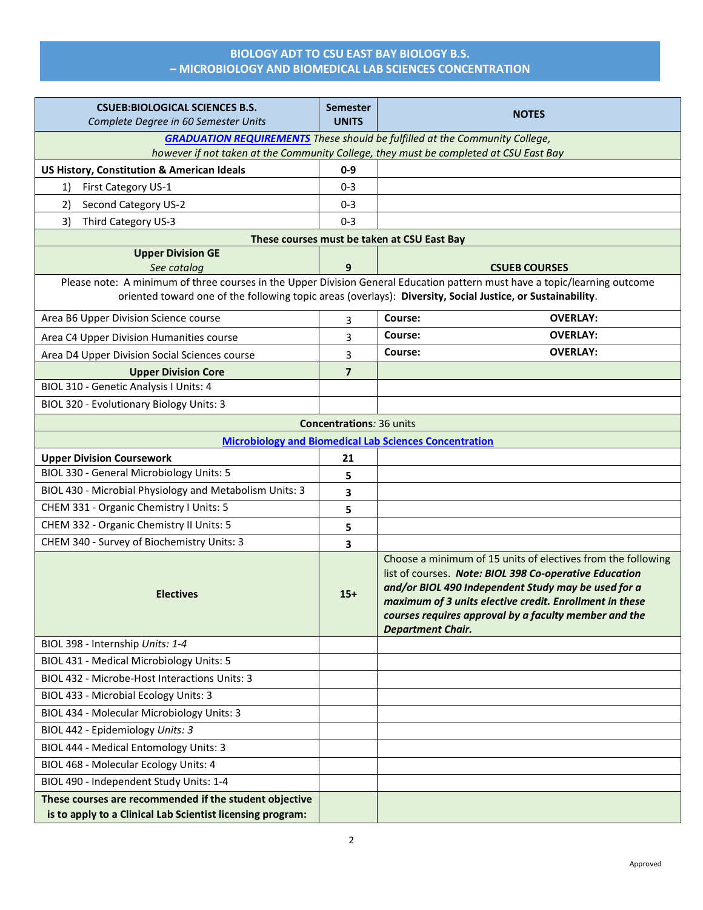| <b>CSUEB:BIOLOGICAL SCIENCES B.S.</b>                                                                                                                                                                                                    | <b>Semester</b>                 | <b>NOTES</b>                                                                                                                                                                                                                                                                                                                  |  |  |
|------------------------------------------------------------------------------------------------------------------------------------------------------------------------------------------------------------------------------------------|---------------------------------|-------------------------------------------------------------------------------------------------------------------------------------------------------------------------------------------------------------------------------------------------------------------------------------------------------------------------------|--|--|
| Complete Degree in 60 Semester Units                                                                                                                                                                                                     | <b>UNITS</b>                    |                                                                                                                                                                                                                                                                                                                               |  |  |
|                                                                                                                                                                                                                                          |                                 | <b>GRADUATION REQUIREMENTS</b> These should be fulfilled at the Community College,                                                                                                                                                                                                                                            |  |  |
|                                                                                                                                                                                                                                          |                                 | however if not taken at the Community College, they must be completed at CSU East Bay                                                                                                                                                                                                                                         |  |  |
| <b>US History, Constitution &amp; American Ideals</b>                                                                                                                                                                                    | $0-9$                           |                                                                                                                                                                                                                                                                                                                               |  |  |
| First Category US-1<br>1)                                                                                                                                                                                                                | $0 - 3$                         |                                                                                                                                                                                                                                                                                                                               |  |  |
| Second Category US-2<br>2)                                                                                                                                                                                                               | $0 - 3$                         |                                                                                                                                                                                                                                                                                                                               |  |  |
| 3)<br>Third Category US-3                                                                                                                                                                                                                | $0 - 3$                         |                                                                                                                                                                                                                                                                                                                               |  |  |
| <b>Upper Division GE</b>                                                                                                                                                                                                                 |                                 | These courses must be taken at CSU East Bay                                                                                                                                                                                                                                                                                   |  |  |
| See catalog                                                                                                                                                                                                                              | 9                               | <b>CSUEB COURSES</b>                                                                                                                                                                                                                                                                                                          |  |  |
| Please note: A minimum of three courses in the Upper Division General Education pattern must have a topic/learning outcome<br>oriented toward one of the following topic areas (overlays): Diversity, Social Justice, or Sustainability. |                                 |                                                                                                                                                                                                                                                                                                                               |  |  |
| Area B6 Upper Division Science course                                                                                                                                                                                                    | 3                               | Course:<br><b>OVERLAY:</b>                                                                                                                                                                                                                                                                                                    |  |  |
| Area C4 Upper Division Humanities course                                                                                                                                                                                                 | 3                               | Course:<br><b>OVERLAY:</b>                                                                                                                                                                                                                                                                                                    |  |  |
| Area D4 Upper Division Social Sciences course                                                                                                                                                                                            | 3                               | Course:<br><b>OVERLAY:</b>                                                                                                                                                                                                                                                                                                    |  |  |
| <b>Upper Division Core</b>                                                                                                                                                                                                               | $\overline{7}$                  |                                                                                                                                                                                                                                                                                                                               |  |  |
| BIOL 310 - Genetic Analysis I Units: 4                                                                                                                                                                                                   |                                 |                                                                                                                                                                                                                                                                                                                               |  |  |
| BIOL 320 - Evolutionary Biology Units: 3                                                                                                                                                                                                 |                                 |                                                                                                                                                                                                                                                                                                                               |  |  |
|                                                                                                                                                                                                                                          | <b>Concentrations: 36 units</b> |                                                                                                                                                                                                                                                                                                                               |  |  |
|                                                                                                                                                                                                                                          |                                 | <b>Microbiology and Biomedical Lab Sciences Concentration</b>                                                                                                                                                                                                                                                                 |  |  |
| <b>Upper Division Coursework</b>                                                                                                                                                                                                         | 21                              |                                                                                                                                                                                                                                                                                                                               |  |  |
| BIOL 330 - General Microbiology Units: 5                                                                                                                                                                                                 | 5                               |                                                                                                                                                                                                                                                                                                                               |  |  |
| BIOL 430 - Microbial Physiology and Metabolism Units: 3                                                                                                                                                                                  | 3                               |                                                                                                                                                                                                                                                                                                                               |  |  |
| CHEM 331 - Organic Chemistry I Units: 5                                                                                                                                                                                                  | 5                               |                                                                                                                                                                                                                                                                                                                               |  |  |
| CHEM 332 - Organic Chemistry II Units: 5                                                                                                                                                                                                 | 5                               |                                                                                                                                                                                                                                                                                                                               |  |  |
| CHEM 340 - Survey of Biochemistry Units: 3                                                                                                                                                                                               | 3                               |                                                                                                                                                                                                                                                                                                                               |  |  |
| <b>Electives</b>                                                                                                                                                                                                                         | $15+$                           | Choose a minimum of 15 units of electives from the following<br>list of courses. Note: BIOL 398 Co-operative Education<br>and/or BIOL 490 Independent Study may be used for a<br>maximum of 3 units elective credit. Enrollment in these<br>courses requires approval by a faculty member and the<br><b>Department Chair.</b> |  |  |
| BIOL 398 - Internship Units: 1-4                                                                                                                                                                                                         |                                 |                                                                                                                                                                                                                                                                                                                               |  |  |
| BIOL 431 - Medical Microbiology Units: 5                                                                                                                                                                                                 |                                 |                                                                                                                                                                                                                                                                                                                               |  |  |
| BIOL 432 - Microbe-Host Interactions Units: 3                                                                                                                                                                                            |                                 |                                                                                                                                                                                                                                                                                                                               |  |  |
| BIOL 433 - Microbial Ecology Units: 3                                                                                                                                                                                                    |                                 |                                                                                                                                                                                                                                                                                                                               |  |  |
| BIOL 434 - Molecular Microbiology Units: 3                                                                                                                                                                                               |                                 |                                                                                                                                                                                                                                                                                                                               |  |  |
| BIOL 442 - Epidemiology Units: 3                                                                                                                                                                                                         |                                 |                                                                                                                                                                                                                                                                                                                               |  |  |
| BIOL 444 - Medical Entomology Units: 3                                                                                                                                                                                                   |                                 |                                                                                                                                                                                                                                                                                                                               |  |  |
| BIOL 468 - Molecular Ecology Units: 4                                                                                                                                                                                                    |                                 |                                                                                                                                                                                                                                                                                                                               |  |  |
| BIOL 490 - Independent Study Units: 1-4                                                                                                                                                                                                  |                                 |                                                                                                                                                                                                                                                                                                                               |  |  |
| These courses are recommended if the student objective                                                                                                                                                                                   |                                 |                                                                                                                                                                                                                                                                                                                               |  |  |
| is to apply to a Clinical Lab Scientist licensing program:                                                                                                                                                                               |                                 |                                                                                                                                                                                                                                                                                                                               |  |  |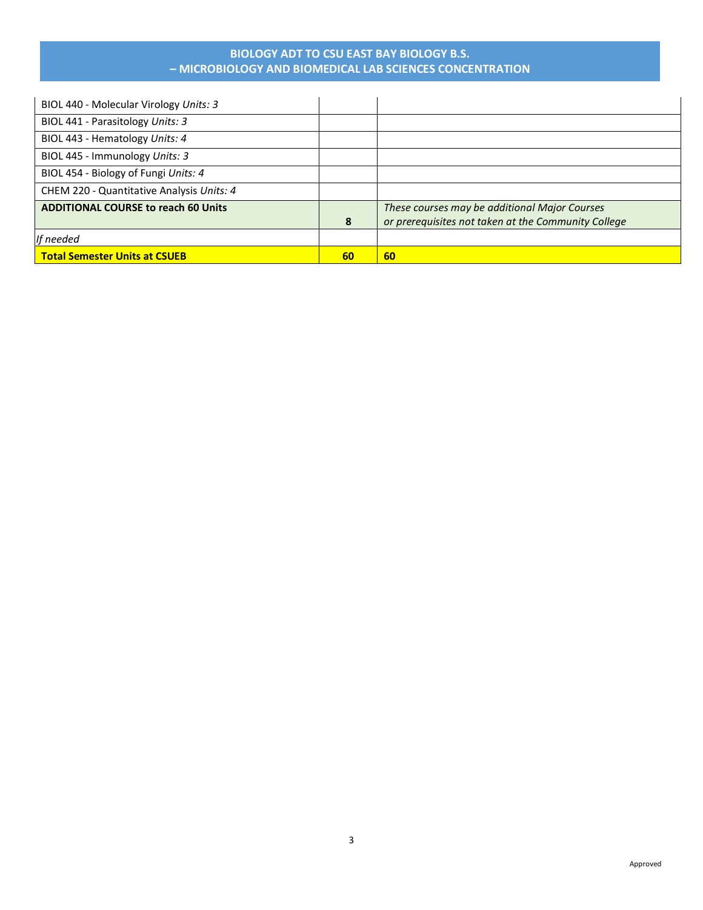| <b>Total Semester Units at CSUEB</b>       | 60 | 60                                                  |
|--------------------------------------------|----|-----------------------------------------------------|
| If needed                                  |    |                                                     |
|                                            | 8  | or prerequisites not taken at the Community College |
| <b>ADDITIONAL COURSE to reach 60 Units</b> |    | These courses may be additional Major Courses       |
| CHEM 220 - Quantitative Analysis Units: 4  |    |                                                     |
| BIOL 454 - Biology of Fungi Units: 4       |    |                                                     |
| BIOL 445 - Immunology Units: 3             |    |                                                     |
| BIOL 443 - Hematology Units: 4             |    |                                                     |
| BIOL 441 - Parasitology Units: 3           |    |                                                     |
| BIOL 440 - Molecular Virology Units: 3     |    |                                                     |